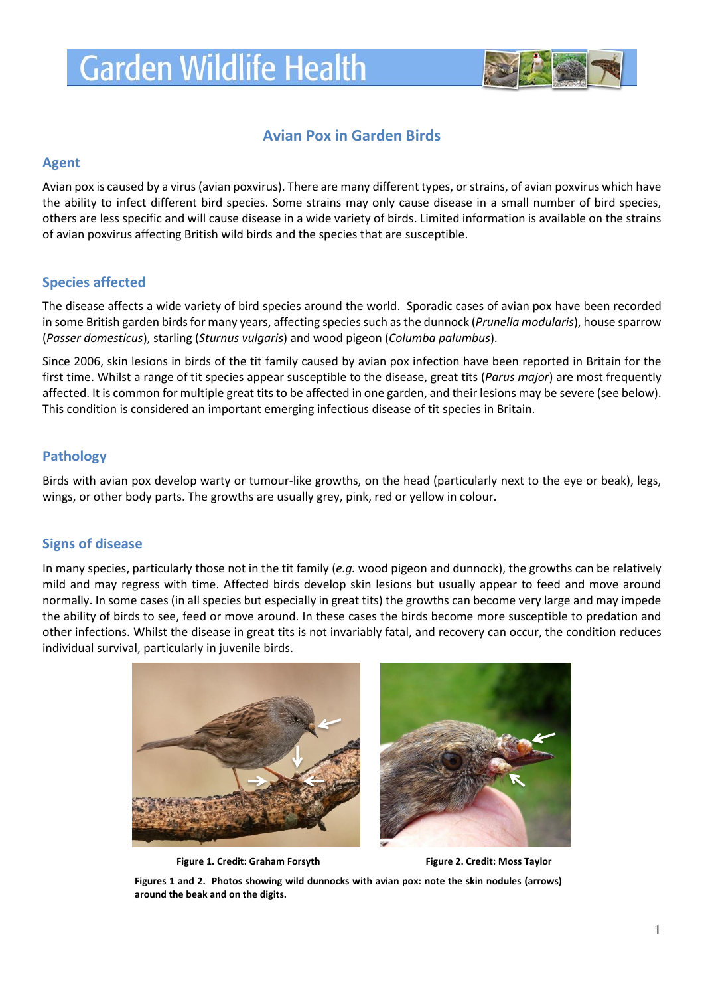# **Garden Wildlife Health**



## **Avian Pox in Garden Birds**

#### **Agent**

Avian pox is caused by a virus (avian poxvirus). There are many different types, or strains, of avian poxvirus which have the ability to infect different bird species. Some strains may only cause disease in a small number of bird species, others are less specific and will cause disease in a wide variety of birds. Limited information is available on the strains of avian poxvirus affecting British wild birds and the species that are susceptible.

## **Species affected**

The disease affects a wide variety of bird species around the world. Sporadic cases of avian pox have been recorded in some British garden birdsfor many years, affecting species such as the dunnock (*Prunella modularis*), house sparrow (*Passer domesticus*), starling (*Sturnus vulgaris*) and wood pigeon (*Columba palumbus*).

Since 2006, skin lesions in birds of the tit family caused by avian pox infection have been reported in Britain for the first time. Whilst a range of tit species appear susceptible to the disease, great tits (*Parus major*) are most frequently affected. It is common for multiple great tits to be affected in one garden, and their lesions may be severe (see below). This condition is considered an important emerging infectious disease of tit species in Britain.

## **Pathology**

Birds with avian pox develop warty or tumour-like growths, on the head (particularly next to the eye or beak), legs, wings, or other body parts. The growths are usually grey, pink, red or yellow in colour.

## **Signs of disease**

In many species, particularly those not in the tit family (*e.g.* wood pigeon and dunnock), the growths can be relatively mild and may regress with time. Affected birds develop skin lesions but usually appear to feed and move around normally. In some cases (in all species but especially in great tits) the growths can become very large and may impede the ability of birds to see, feed or move around. In these cases the birds become more susceptible to predation and other infections. Whilst the disease in great tits is not invariably fatal, and recovery can occur, the condition reduces individual survival, particularly in juvenile birds.



Figure 1. Credit: Graham Forsyth Figure 2. Credit: Moss Taylor



**Figures 1 and 2. Photos showing wild dunnocks with avian pox: note the skin nodules (arrows) around the beak and on the digits.**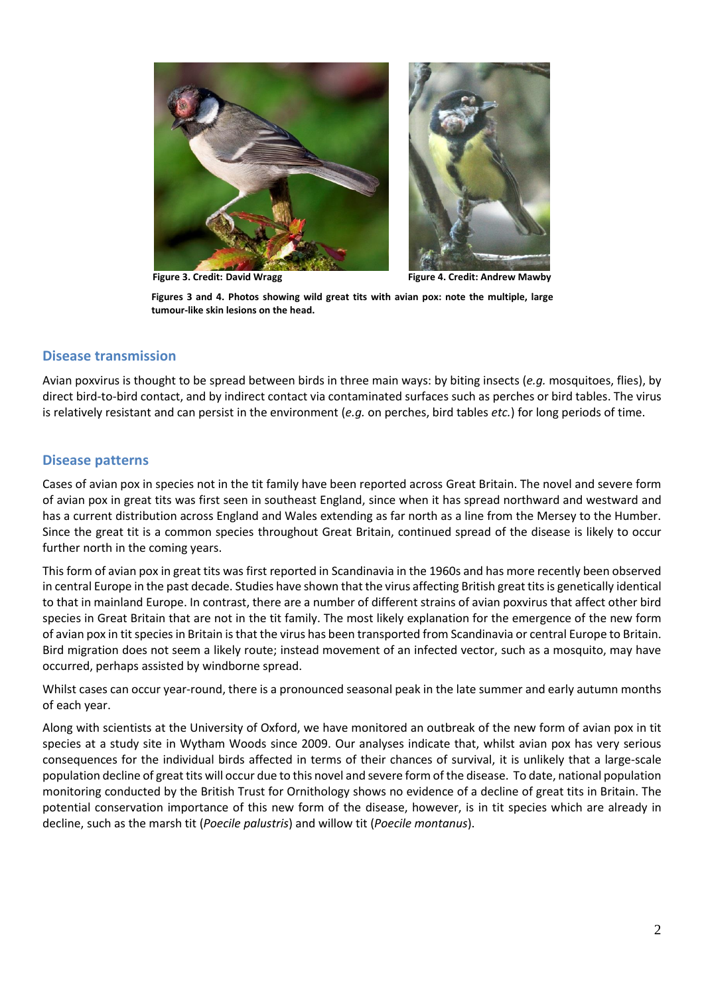



**Figure 3. Credit: David Wragg Figure 4. Credit: Andrew Mawby**

**Figures 3 and 4. Photos showing wild great tits with avian pox: note the multiple, large tumour-like skin lesions on the head.**

#### **Disease transmission**

Avian poxvirus is thought to be spread between birds in three main ways: by biting insects (*e.g.* mosquitoes, flies), by direct bird-to-bird contact, and by indirect contact via contaminated surfaces such as perches or bird tables. The virus is relatively resistant and can persist in the environment (*e.g.* on perches, bird tables *etc.*) for long periods of time.

#### **Disease patterns**

Cases of avian pox in species not in the tit family have been reported across Great Britain. The novel and severe form of avian pox in great tits was first seen in southeast England, since when it has spread northward and westward and has a current distribution across England and Wales extending as far north as a line from the Mersey to the Humber. Since the great tit is a common species throughout Great Britain, continued spread of the disease is likely to occur further north in the coming years.

This form of avian pox in great tits was first reported in Scandinavia in the 1960s and has more recently been observed in central Europe in the past decade. Studies have shown that the virus affecting British great tits is genetically identical to that in mainland Europe. In contrast, there are a number of different strains of avian poxvirus that affect other bird species in Great Britain that are not in the tit family. The most likely explanation for the emergence of the new form of avian pox in tit species in Britain is that the virus has been transported from Scandinavia or central Europe to Britain. Bird migration does not seem a likely route; instead movement of an infected vector, such as a mosquito, may have occurred, perhaps assisted by windborne spread.

Whilst cases can occur year-round, there is a pronounced seasonal peak in the late summer and early autumn months of each year.

Along with scientists at the University of Oxford, we have monitored an outbreak of the new form of avian pox in tit species at a study site in Wytham Woods since 2009. Our analyses indicate that, whilst avian pox has very serious consequences for the individual birds affected in terms of their chances of survival, it is unlikely that a large-scale population decline of great tits will occur due to this novel and severe form of the disease. To date, national population monitoring conducted by the British Trust for Ornithology shows no evidence of a decline of great tits in Britain. The potential conservation importance of this new form of the disease, however, is in tit species which are already in decline, such as the marsh tit (*Poecile palustris*) and willow tit (*Poecile montanus*).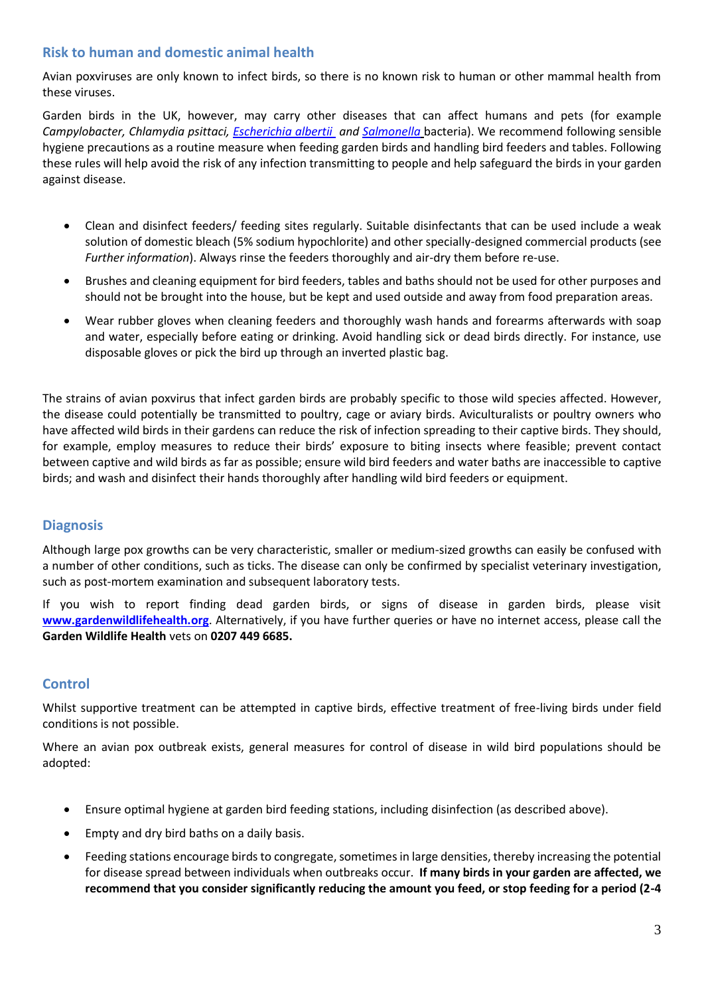## **Risk to human and domestic animal health**

Avian poxviruses are only known to infect birds, so there is no known risk to human or other mammal health from these viruses.

Garden birds in the UK, however, may carry other diseases that can affect humans and pets (for example *Campylobacter, Chlamydia psittaci, [Escherichia albertii](http://www.gardenwildlifehealth.org/files/2013/06/Garden-bird-Escherichia-albertii-factsheet_GWH.pdf) and [Salmonella](http://www.gardenwildlifehealth.org/files/2013/06/Garden-bird-Salmonellosis-factsheet_GWH.pdf)* bacteria). We recommend following sensible hygiene precautions as a routine measure when feeding garden birds and handling bird feeders and tables. Following these rules will help avoid the risk of any infection transmitting to people and help safeguard the birds in your garden against disease.

- Clean and disinfect feeders/ feeding sites regularly. Suitable disinfectants that can be used include a weak solution of domestic bleach (5% sodium hypochlorite) and other specially-designed commercial products (see *Further information*). Always rinse the feeders thoroughly and air-dry them before re-use.
- Brushes and cleaning equipment for bird feeders, tables and baths should not be used for other purposes and should not be brought into the house, but be kept and used outside and away from food preparation areas.
- Wear rubber gloves when cleaning feeders and thoroughly wash hands and forearms afterwards with soap and water, especially before eating or drinking. Avoid handling sick or dead birds directly. For instance, use disposable gloves or pick the bird up through an inverted plastic bag.

The strains of avian poxvirus that infect garden birds are probably specific to those wild species affected. However, the disease could potentially be transmitted to poultry, cage or aviary birds. Aviculturalists or poultry owners who have affected wild birds in their gardens can reduce the risk of infection spreading to their captive birds. They should, for example, employ measures to reduce their birds' exposure to biting insects where feasible; prevent contact between captive and wild birds as far as possible; ensure wild bird feeders and water baths are inaccessible to captive birds; and wash and disinfect their hands thoroughly after handling wild bird feeders or equipment.

## **Diagnosis**

Although large pox growths can be very characteristic, smaller or medium-sized growths can easily be confused with a number of other conditions, such as ticks. The disease can only be confirmed by specialist veterinary investigation, such as post-mortem examination and subsequent laboratory tests.

If you wish to report finding dead garden birds, or signs of disease in garden birds, please visit **[www.gardenwildlifehealth.org](http://www.gardenwildlifehealth.org/)**. Alternatively, if you have further queries or have no internet access, please call the **Garden Wildlife Health** vets on **0207 449 6685.**

#### **Control**

Whilst supportive treatment can be attempted in captive birds, effective treatment of free-living birds under field conditions is not possible.

Where an avian pox outbreak exists, general measures for control of disease in wild bird populations should be adopted:

- Ensure optimal hygiene at garden bird feeding stations, including disinfection (as described above).
- Empty and dry bird baths on a daily basis.
- Feeding stations encourage birds to congregate, sometimes in large densities, thereby increasing the potential for disease spread between individuals when outbreaks occur. **If many birds in your garden are affected, we recommend that you consider significantly reducing the amount you feed, or stop feeding for a period (2-4**